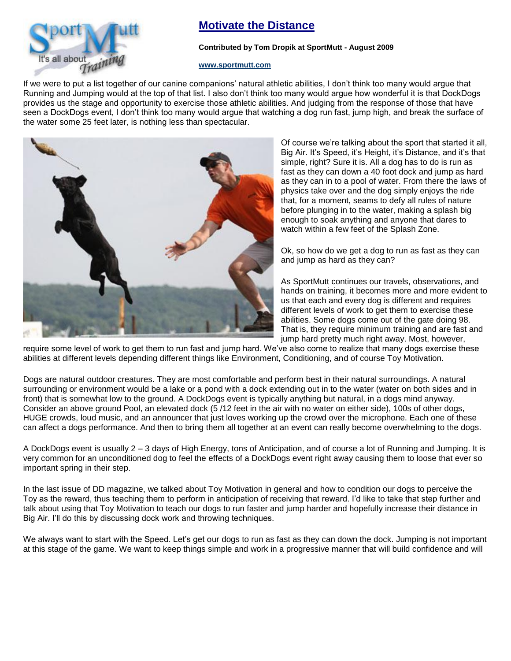

## **Motivate the Distance**

## **Contributed by Tom Dropik at SportMutt - August 2009**

## **[www.sportmutt.com](file:///C:/Users/Brenda/Documents/My%20Webs/4petswithstyle/sportmutt/index.htm)**

If we were to put a list together of our canine companions' natural athletic abilities, I don't think too many would argue that Running and Jumping would at the top of that list. I also don't think too many would argue how wonderful it is that DockDogs provides us the stage and opportunity to exercise those athletic abilities. And judging from the response of those that have seen a DockDogs event, I don't think too many would argue that watching a dog run fast, jump high, and break the surface of the water some 25 feet later, is nothing less than spectacular.



Of course we're talking about the sport that started it all, Big Air. It's Speed, it's Height, it's Distance, and it's that simple, right? Sure it is. All a dog has to do is run as fast as they can down a 40 foot dock and jump as hard as they can in to a pool of water. From there the laws of physics take over and the dog simply enjoys the ride that, for a moment, seams to defy all rules of nature before plunging in to the water, making a splash big enough to soak anything and anyone that dares to watch within a few feet of the Splash Zone.

Ok, so how do we get a dog to run as fast as they can and jump as hard as they can?

As SportMutt continues our travels, observations, and hands on training, it becomes more and more evident to us that each and every dog is different and requires different levels of work to get them to exercise these abilities. Some dogs come out of the gate doing 98. That is, they require minimum training and are fast and jump hard pretty much right away. Most, however,

require some level of work to get them to run fast and jump hard. We've also come to realize that many dogs exercise these abilities at different levels depending different things like Environment, Conditioning, and of course Toy Motivation.

Dogs are natural outdoor creatures. They are most comfortable and perform best in their natural surroundings. A natural surrounding or environment would be a lake or a pond with a dock extending out in to the water (water on both sides and in front) that is somewhat low to the ground. A DockDogs event is typically anything but natural, in a dogs mind anyway. Consider an above ground Pool, an elevated dock (5 /12 feet in the air with no water on either side), 100s of other dogs, HUGE crowds, loud music, and an announcer that just loves working up the crowd over the microphone. Each one of these can affect a dogs performance. And then to bring them all together at an event can really become overwhelming to the dogs.

A DockDogs event is usually 2 – 3 days of High Energy, tons of Anticipation, and of course a lot of Running and Jumping. It is very common for an unconditioned dog to feel the effects of a DockDogs event right away causing them to loose that ever so important spring in their step.

In the last issue of DD magazine, we talked about Toy Motivation in general and how to condition our dogs to perceive the Toy as the reward, thus teaching them to perform in anticipation of receiving that reward. I'd like to take that step further and talk about using that Toy Motivation to teach our dogs to run faster and jump harder and hopefully increase their distance in Big Air. I'll do this by discussing dock work and throwing techniques.

We always want to start with the Speed. Let's get our dogs to run as fast as they can down the dock. Jumping is not important at this stage of the game. We want to keep things simple and work in a progressive manner that will build confidence and will